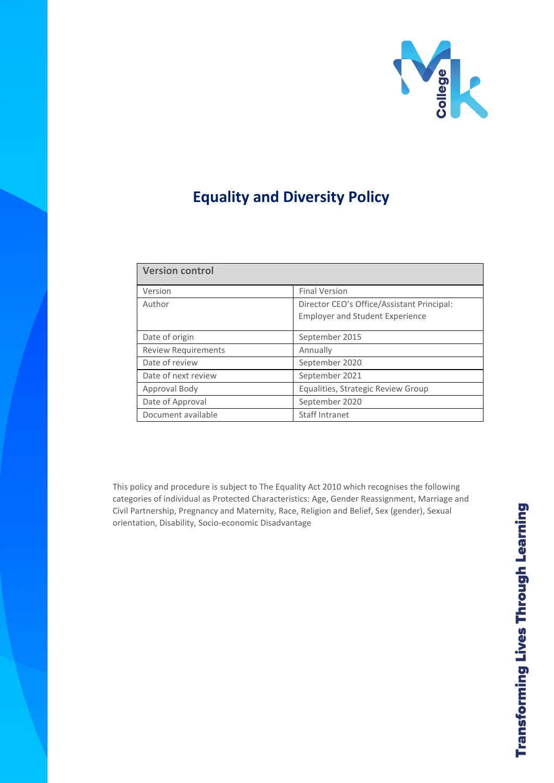

# **Equality and Diversity Policy**

| <b>Version control</b>     |                                            |
|----------------------------|--------------------------------------------|
| Version                    | <b>Final Version</b>                       |
| Author                     | Director CEO's Office/Assistant Principal: |
|                            | <b>Employer and Student Experience</b>     |
| Date of origin             | September 2015                             |
| <b>Review Requirements</b> | Annually                                   |
| Date of review             | September 2020                             |
| Date of next review        | September 2021                             |
| Approval Body              | Equalities, Strategic Review Group         |
| Date of Approval           | September 2020                             |
| Document available         | <b>Staff Intranet</b>                      |

This policy and procedure is subject to The Equality Act 2010 which recognises the following categories of individual as Protected Characteristics: Age, Gender Reassignment, Marriage and Civil Partnership, Pregnancy and Maternity, Race, Religion and Belief, Sex (gender), Sexual orientation, Disability, Socio-economic Disadvantage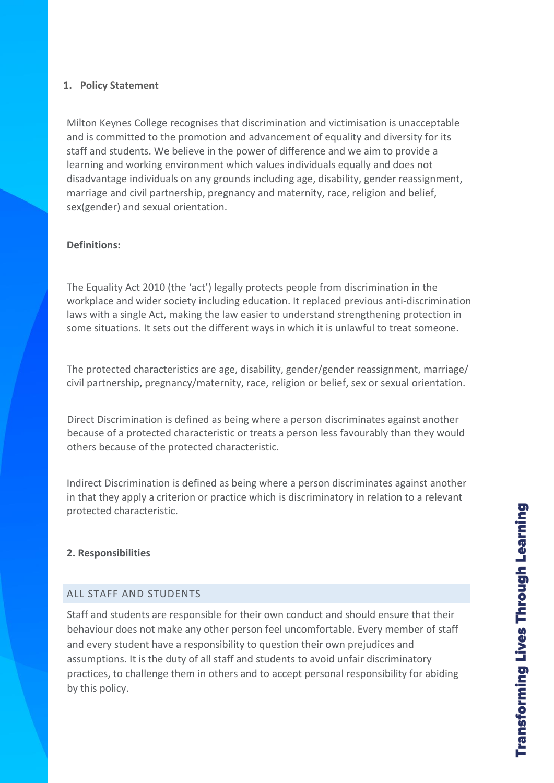## **1. Policy Statement**

Milton Keynes College recognises that discrimination and victimisation is unacceptable and is committed to the promotion and advancement of equality and diversity for its staff and students. We believe in the power of difference and we aim to provide a learning and working environment which values individuals equally and does not disadvantage individuals on any grounds including age, disability, gender reassignment, marriage and civil partnership, pregnancy and maternity, race, religion and belief, sex(gender) and sexual orientation.

## **Definitions:**

The Equality Act 2010 (the 'act') legally protects people from discrimination in the workplace and wider society including education. It replaced previous anti-discrimination laws with a single Act, making the law easier to understand strengthening protection in some situations. It sets out the different ways in which it is unlawful to treat someone.

The protected characteristics are age, disability, gender/gender reassignment, marriage/ civil partnership, pregnancy/maternity, race, religion or belief, sex or sexual orientation.

Direct Discrimination is defined as being where a person discriminates against another because of a protected characteristic or treats a person less favourably than they would others because of the protected characteristic.

Indirect Discrimination is defined as being where a person discriminates against another in that they apply a criterion or practice which is discriminatory in relation to a relevant protected characteristic.

#### **2. Responsibilities**

#### ALL STAFF AND STUDENTS

Staff and students are responsible for their own conduct and should ensure that their behaviour does not make any other person feel uncomfortable. Every member of staff and every student have a responsibility to question their own prejudices and assumptions. It is the duty of all staff and students to avoid unfair discriminatory practices, to challenge them in others and to accept personal responsibility for abiding by this policy.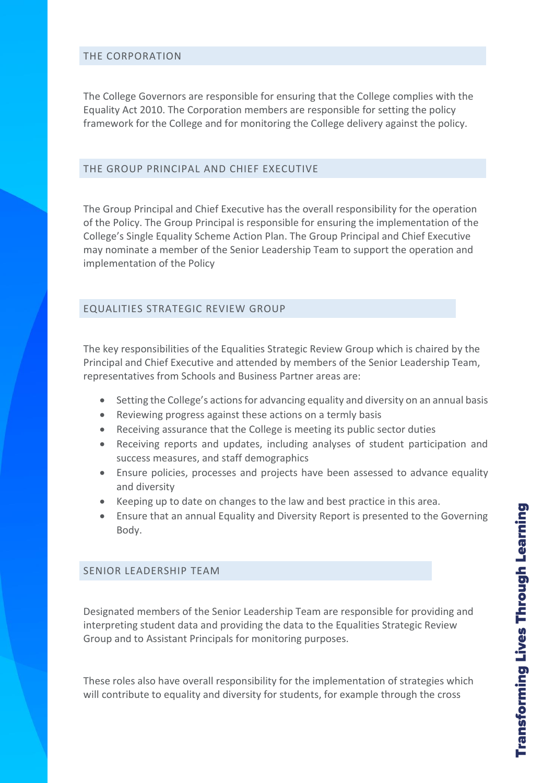#### THE CORPORATION

The College Governors are responsible for ensuring that the College complies with the Equality Act 2010. The Corporation members are responsible for setting the policy framework for the College and for monitoring the College delivery against the policy.

#### THE GROUP PRINCIPAL AND CHIEF EXECUTIVE

The Group Principal and Chief Executive has the overall responsibility for the operation of the Policy. The Group Principal is responsible for ensuring the implementation of the College's Single Equality Scheme Action Plan. The Group Principal and Chief Executive may nominate a member of the Senior Leadership Team to support the operation and implementation of the Policy

## EQUALITIES STRATEGIC REVIEW GROUP

The key responsibilities of the Equalities Strategic Review Group which is chaired by the Principal and Chief Executive and attended by members of the Senior Leadership Team, representatives from Schools and Business Partner areas are:

- Setting the College's actions for advancing equality and diversity on an annual basis
- Reviewing progress against these actions on a termly basis
- Receiving assurance that the College is meeting its public sector duties
- Receiving reports and updates, including analyses of student participation and success measures, and staff demographics
- Ensure policies, processes and projects have been assessed to advance equality and diversity
- Keeping up to date on changes to the law and best practice in this area.
- Ensure that an annual Equality and Diversity Report is presented to the Governing Body.

#### SENIOR LEADERSHIP TEAM

Designated members of the Senior Leadership Team are responsible for providing and interpreting student data and providing the data to the Equalities Strategic Review Group and to Assistant Principals for monitoring purposes.

These roles also have overall responsibility for the implementation of strategies which will contribute to equality and diversity for students, for example through the cross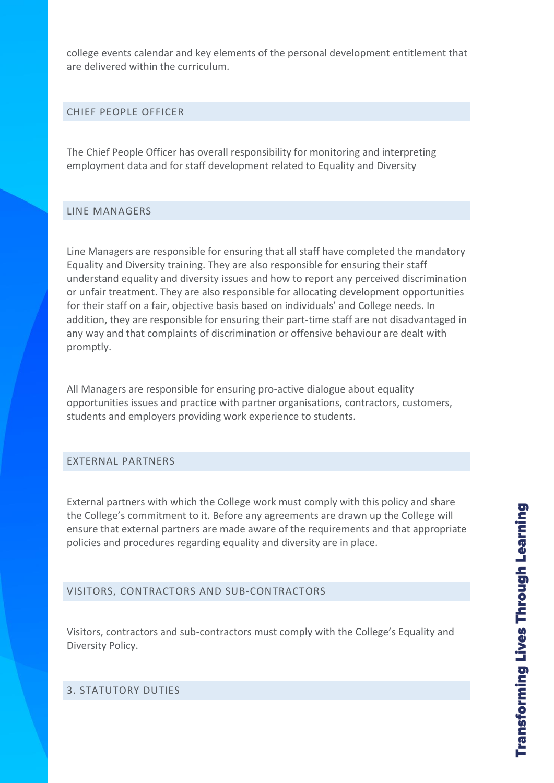college events calendar and key elements of the personal development entitlement that are delivered within the curriculum.

#### CHIEF PEOPLE OFFICER

The Chief People Officer has overall responsibility for monitoring and interpreting employment data and for staff development related to Equality and Diversity

#### LINE MANAGERS

Line Managers are responsible for ensuring that all staff have completed the mandatory Equality and Diversity training. They are also responsible for ensuring their staff understand equality and diversity issues and how to report any perceived discrimination or unfair treatment. They are also responsible for allocating development opportunities for their staff on a fair, objective basis based on individuals' and College needs. In addition, they are responsible for ensuring their part-time staff are not disadvantaged in any way and that complaints of discrimination or offensive behaviour are dealt with promptly.

All Managers are responsible for ensuring pro-active dialogue about equality opportunities issues and practice with partner organisations, contractors, customers, students and employers providing work experience to students.

#### EXTERNAL PARTNERS

External partners with which the College work must comply with this policy and share the College's commitment to it. Before any agreements are drawn up the College will ensure that external partners are made aware of the requirements and that appropriate policies and procedures regarding equality and diversity are in place.

## VISITORS, CONTRACTORS AND SUB-CONTRACTORS

Visitors, contractors and sub-contractors must comply with the College's Equality and Diversity Policy.

# 3. STATUTORY DUTIES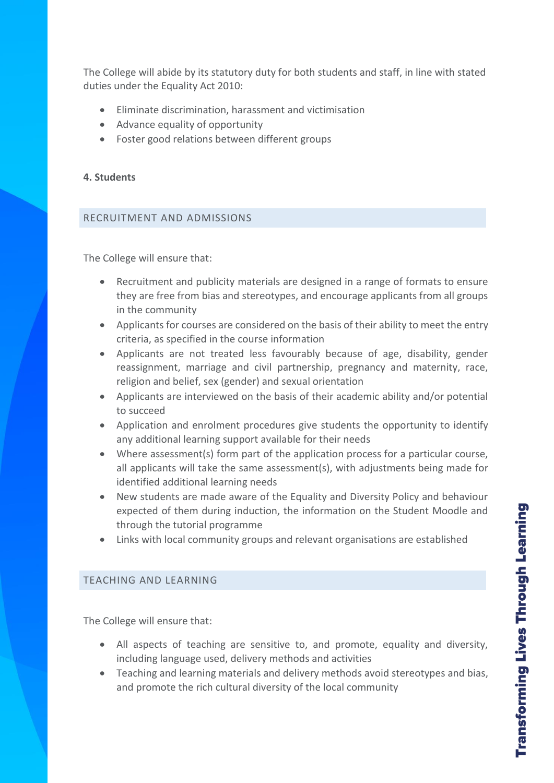The College will abide by its statutory duty for both students and staff, in line with stated duties under the Equality Act 2010:

- Eliminate discrimination, harassment and victimisation
- Advance equality of opportunity
- Foster good relations between different groups

## **4. Students**

## RECRUITMENT AND ADMISSIONS

The College will ensure that:

- Recruitment and publicity materials are designed in a range of formats to ensure they are free from bias and stereotypes, and encourage applicants from all groups in the community
- Applicants for courses are considered on the basis of their ability to meet the entry criteria, as specified in the course information
- Applicants are not treated less favourably because of age, disability, gender reassignment, marriage and civil partnership, pregnancy and maternity, race, religion and belief, sex (gender) and sexual orientation
- Applicants are interviewed on the basis of their academic ability and/or potential to succeed
- Application and enrolment procedures give students the opportunity to identify any additional learning support available for their needs
- Where assessment(s) form part of the application process for a particular course, all applicants will take the same assessment(s), with adjustments being made for identified additional learning needs
- New students are made aware of the Equality and Diversity Policy and behaviour expected of them during induction, the information on the Student Moodle and through the tutorial programme
- Links with local community groups and relevant organisations are established

#### TEACHING AND LEARNING

The College will ensure that:

- All aspects of teaching are sensitive to, and promote, equality and diversity, including language used, delivery methods and activities
- Teaching and learning materials and delivery methods avoid stereotypes and bias, and promote the rich cultural diversity of the local community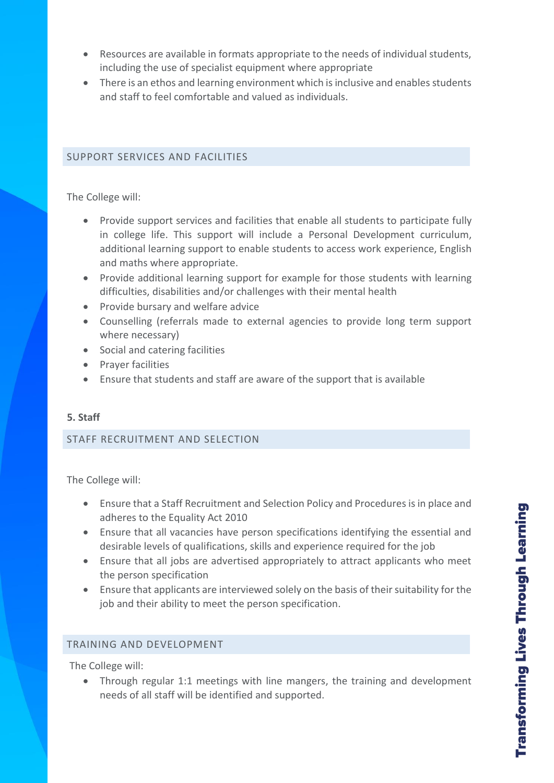- Resources are available in formats appropriate to the needs of individual students, including the use of specialist equipment where appropriate
- There is an ethos and learning environment which is inclusive and enables students and staff to feel comfortable and valued as individuals.

## SUPPORT SERVICES AND FACILITIES

The College will:

- Provide support services and facilities that enable all students to participate fully in college life. This support will include a Personal Development curriculum, additional learning support to enable students to access work experience, English and maths where appropriate.
- Provide additional learning support for example for those students with learning difficulties, disabilities and/or challenges with their mental health
- Provide bursary and welfare advice
- Counselling (referrals made to external agencies to provide long term support where necessary)
- Social and catering facilities
- Prayer facilities
- Ensure that students and staff are aware of the support that is available

## **5. Staff**

## STAFF RECRUITMENT AND SELECTION

The College will:

- Ensure that a Staff Recruitment and Selection Policy and Procedures is in place and adheres to the Equality Act 2010
- Ensure that all vacancies have person specifications identifying the essential and desirable levels of qualifications, skills and experience required for the job
- Ensure that all jobs are advertised appropriately to attract applicants who meet the person specification
- Ensure that applicants are interviewed solely on the basis of their suitability for the job and their ability to meet the person specification.

## TRAINING AND DEVELOPMENT

The College will:

• Through regular 1:1 meetings with line mangers, the training and development needs of all staff will be identified and supported.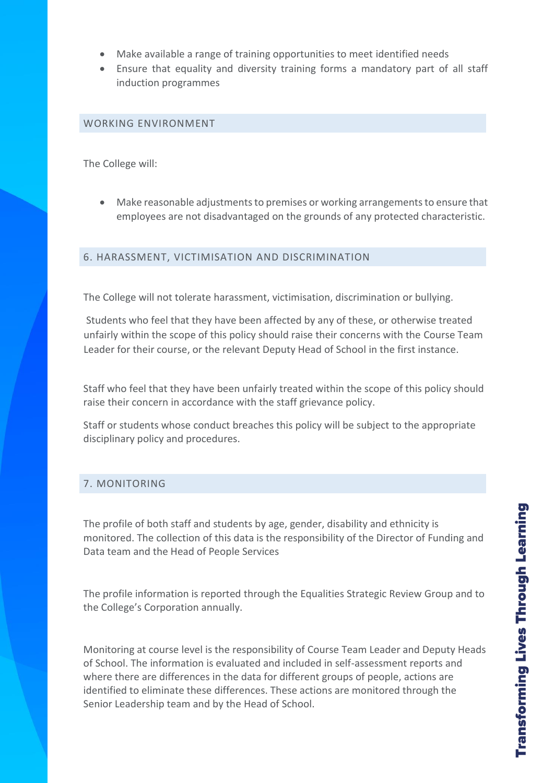- Make available a range of training opportunities to meet identified needs
- Ensure that equality and diversity training forms a mandatory part of all staff induction programmes

#### WORKING ENVIRONMENT

The College will:

• Make reasonable adjustments to premises or working arrangements to ensure that employees are not disadvantaged on the grounds of any protected characteristic.

## 6. HARASSMENT, VICTIMISATION AND DISCRIMINATION

The College will not tolerate harassment, victimisation, discrimination or bullying.

Students who feel that they have been affected by any of these, or otherwise treated unfairly within the scope of this policy should raise their concerns with the Course Team Leader for their course, or the relevant Deputy Head of School in the first instance.

Staff who feel that they have been unfairly treated within the scope of this policy should raise their concern in accordance with the staff grievance policy.

Staff or students whose conduct breaches this policy will be subject to the appropriate disciplinary policy and procedures.

# 7. MONITORING

The profile of both staff and students by age, gender, disability and ethnicity is monitored. The collection of this data is the responsibility of the Director of Funding and Data team and the Head of People Services

The profile information is reported through the Equalities Strategic Review Group and to the College's Corporation annually.

Monitoring at course level is the responsibility of Course Team Leader and Deputy Heads of School. The information is evaluated and included in self-assessment reports and where there are differences in the data for different groups of people, actions are identified to eliminate these differences. These actions are monitored through the Senior Leadership team and by the Head of School.